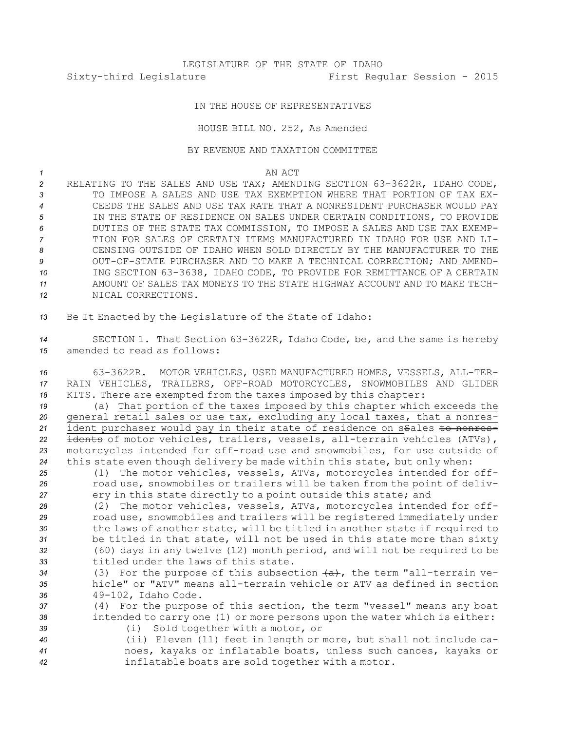## LEGISLATURE OF THE STATE OF IDAHO Sixty-third Legislature First Regular Session - 2015

## IN THE HOUSE OF REPRESENTATIVES

## HOUSE BILL NO. 252, As Amended

## BY REVENUE AND TAXATION COMMITTEE

*1* AN ACT

 RELATING TO THE SALES AND USE TAX; AMENDING SECTION 63-3622R, IDAHO CODE, TO IMPOSE A SALES AND USE TAX EXEMPTION WHERE THAT PORTION OF TAX EX- CEEDS THE SALES AND USE TAX RATE THAT A NONRESIDENT PURCHASER WOULD PAY IN THE STATE OF RESIDENCE ON SALES UNDER CERTAIN CONDITIONS, TO PROVIDE DUTIES OF THE STATE TAX COMMISSION, TO IMPOSE A SALES AND USE TAX EXEMP- TION FOR SALES OF CERTAIN ITEMS MANUFACTURED IN IDAHO FOR USE AND LI- CENSING OUTSIDE OF IDAHO WHEN SOLD DIRECTLY BY THE MANUFACTURER TO THE OUT-OF-STATE PURCHASER AND TO MAKE A TECHNICAL CORRECTION; AND AMEND- ING SECTION 63-3638, IDAHO CODE, TO PROVIDE FOR REMITTANCE OF A CERTAIN AMOUNT OF SALES TAX MONEYS TO THE STATE HIGHWAY ACCOUNT AND TO MAKE TECH-NICAL CORRECTIONS.

*<sup>13</sup>* Be It Enacted by the Legislature of the State of Idaho:

*<sup>14</sup>* SECTION 1. That Section 63-3622R, Idaho Code, be, and the same is hereby *15* amended to read as follows:

*<sup>16</sup>* 63-3622R. MOTOR VEHICLES, USED MANUFACTURED HOMES, VESSELS, ALL-TER-*17* RAIN VEHICLES, TRAILERS, OFF-ROAD MOTORCYCLES, SNOWMOBILES AND GLIDER *<sup>18</sup>* KITS. There are exempted from the taxes imposed by this chapter:

 (a) That portion of the taxes imposed by this chapter which exceeds the general retail sales or use tax, excluding any local taxes, that <sup>a</sup> nonres-21 ident purchaser would pay in their state of residence on ssales to nonres- idents of motor vehicles, trailers, vessels, all-terrain vehicles (ATVs), motorcycles intended for off-road use and snowmobiles, for use outside of this state even though delivery be made within this state, but only when:

*<sup>25</sup>* (1) The motor vehicles, vessels, ATVs, motorcycles intended for off-*<sup>26</sup>* road use, snowmobiles or trailers will be taken from the point of deliv-*<sup>27</sup>* ery in this state directly to <sup>a</sup> point outside this state; and

 (2) The motor vehicles, vessels, ATVs, motorcycles intended for off- road use, snowmobiles and trailers will be registered immediately under the laws of another state, will be titled in another state if required to be titled in that state, will not be used in this state more than sixty (60) days in any twelve (12) month period, and will not be required to be titled under the laws of this state.

34 (3) For the purpose of this subsection  $(a)$ , the term "all-terrain ve-*35* hicle" or "ATV" means all-terrain vehicle or ATV as defined in section *<sup>36</sup>* 49-102, Idaho Code.

*<sup>37</sup>* (4) For the purpose of this section, the term "vessel" means any boat *<sup>38</sup>* intended to carry one (1) or more persons upon the water which is either:

*<sup>39</sup>* (i) Sold together with <sup>a</sup> motor, or

*<sup>40</sup>* (ii) Eleven (11) feet in length or more, but shall not include ca-*<sup>41</sup>* noes, kayaks or inflatable boats, unless such canoes, kayaks or *<sup>42</sup>* inflatable boats are sold together with <sup>a</sup> motor.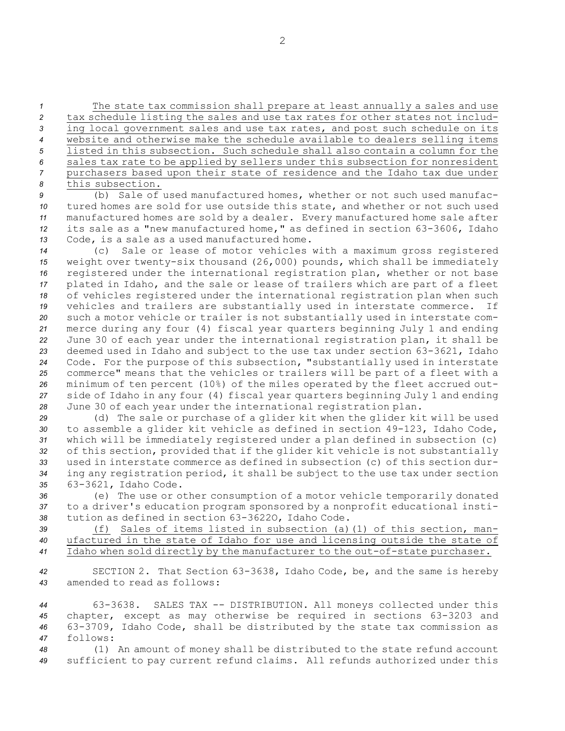The state tax commission shall prepare at least annually <sup>a</sup> sales and use tax schedule listing the sales and use tax rates for other states not includ- ing local government sales and use tax rates, and post such schedule on its website and otherwise make the schedule available to dealers selling items listed in this subsection. Such schedule shall also contain <sup>a</sup> column for the sales tax rate to be applied by sellers under this subsection for nonresident purchasers based upon their state of residence and the Idaho tax due under this subsection.

 (b) Sale of used manufactured homes, whether or not such used manufac- tured homes are sold for use outside this state, and whether or not such used manufactured homes are sold by <sup>a</sup> dealer. Every manufactured home sale after its sale as <sup>a</sup> "new manufactured home," as defined in section 63-3606, Idaho Code, is <sup>a</sup> sale as <sup>a</sup> used manufactured home.

 (c) Sale or lease of motor vehicles with <sup>a</sup> maximum gross registered weight over twenty-six thousand (26,000) pounds, which shall be immediately registered under the international registration plan, whether or not base plated in Idaho, and the sale or lease of trailers which are part of <sup>a</sup> fleet of vehicles registered under the international registration plan when such vehicles and trailers are substantially used in interstate commerce. If such <sup>a</sup> motor vehicle or trailer is not substantially used in interstate com- merce during any four (4) fiscal year quarters beginning July 1 and ending June 30 of each year under the international registration plan, it shall be deemed used in Idaho and subject to the use tax under section 63-3621, Idaho Code. For the purpose of this subsection, "substantially used in interstate commerce" means that the vehicles or trailers will be part of <sup>a</sup> fleet with <sup>a</sup> minimum of ten percent (10%) of the miles operated by the fleet accrued out- side of Idaho in any four (4) fiscal year quarters beginning July 1 and ending June 30 of each year under the international registration plan.

 (d) The sale or purchase of <sup>a</sup> glider kit when the glider kit will be used to assemble <sup>a</sup> glider kit vehicle as defined in section 49-123, Idaho Code, which will be immediately registered under <sup>a</sup> plan defined in subsection (c) of this section, provided that if the glider kit vehicle is not substantially used in interstate commerce as defined in subsection (c) of this section dur- ing any registration period, it shall be subject to the use tax under section 63-3621, Idaho Code.

*<sup>36</sup>* (e) The use or other consumption of <sup>a</sup> motor vehicle temporarily donated *<sup>37</sup>* to <sup>a</sup> driver's education program sponsored by <sup>a</sup> nonprofit educational insti-*<sup>38</sup>* tution as defined in section 63-3622O, Idaho Code.

*<sup>39</sup>* (f) Sales of items listed in subsection (a)(1) of this section, man-*<sup>40</sup>* ufactured in the state of Idaho for use and licensing outside the state of *<sup>41</sup>* Idaho when sold directly by the manufacturer to the out-of-state purchaser.

*<sup>42</sup>* SECTION 2. That Section 63-3638, Idaho Code, be, and the same is hereby *43* amended to read as follows:

 63-3638. SALES TAX -- DISTRIBUTION. All moneys collected under this chapter, except as may otherwise be required in sections 63-3203 and 63-3709, Idaho Code, shall be distributed by the state tax commission as *47* follows:

*<sup>48</sup>* (1) An amount of money shall be distributed to the state refund account *<sup>49</sup>* sufficient to pay current refund claims. All refunds authorized under this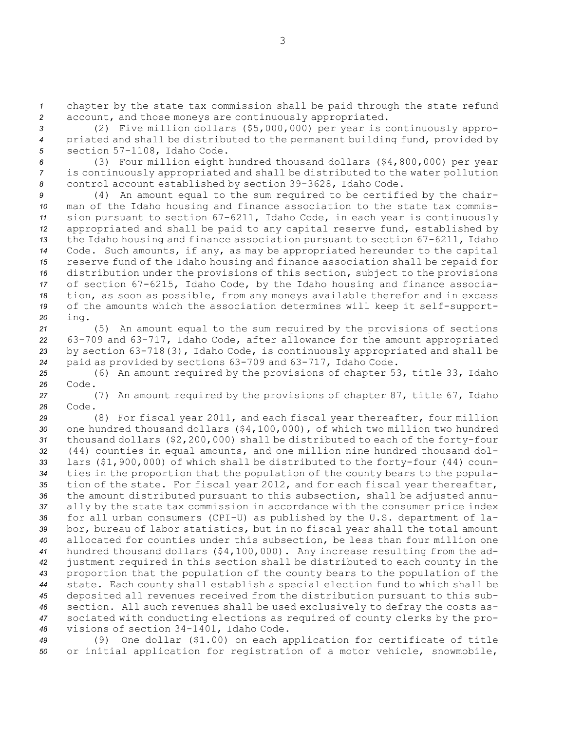*<sup>1</sup>* chapter by the state tax commission shall be paid through the state refund *<sup>2</sup>* account, and those moneys are continuously appropriated.

*<sup>3</sup>* (2) Five million dollars (\$5,000,000) per year is continuously appro-*<sup>4</sup>* priated and shall be distributed to the permanent building fund, provided by *<sup>5</sup>* section 57-1108, Idaho Code.

*<sup>6</sup>* (3) Four million eight hundred thousand dollars (\$4,800,000) per year *<sup>7</sup>* is continuously appropriated and shall be distributed to the water pollution *<sup>8</sup>* control account established by section 39-3628, Idaho Code.

 (4) An amount equal to the sum required to be certified by the chair- man of the Idaho housing and finance association to the state tax commis- sion pursuant to section 67-6211, Idaho Code, in each year is continuously appropriated and shall be paid to any capital reserve fund, established by the Idaho housing and finance association pursuant to section 67-6211, Idaho Code. Such amounts, if any, as may be appropriated hereunder to the capital reserve fund of the Idaho housing and finance association shall be repaid for distribution under the provisions of this section, subject to the provisions of section 67-6215, Idaho Code, by the Idaho housing and finance associa- tion, as soon as possible, from any moneys available therefor and in excess of the amounts which the association determines will keep it self-support-*<sup>20</sup>* ing.

 (5) An amount equal to the sum required by the provisions of sections 63-709 and 63-717, Idaho Code, after allowance for the amount appropriated by section 63-718(3), Idaho Code, is continuously appropriated and shall be paid as provided by sections 63-709 and 63-717, Idaho Code.

*<sup>25</sup>* (6) An amount required by the provisions of chapter 53, title 33, Idaho *26* Code.

*<sup>27</sup>* (7) An amount required by the provisions of chapter 87, title 67, Idaho *28* Code.

 (8) For fiscal year 2011, and each fiscal year thereafter, four million one hundred thousand dollars (\$4,100,000), of which two million two hundred thousand dollars (\$2,200,000) shall be distributed to each of the forty-four (44) counties in equal amounts, and one million nine hundred thousand dol- lars (\$1,900,000) of which shall be distributed to the forty-four (44) coun- ties in the proportion that the population of the county bears to the popula- tion of the state. For fiscal year 2012, and for each fiscal year thereafter, the amount distributed pursuant to this subsection, shall be adjusted annu- ally by the state tax commission in accordance with the consumer price index for all urban consumers (CPI-U) as published by the U.S. department of la- bor, bureau of labor statistics, but in no fiscal year shall the total amount allocated for counties under this subsection, be less than four million one hundred thousand dollars (\$4,100,000). Any increase resulting from the ad- justment required in this section shall be distributed to each county in the proportion that the population of the county bears to the population of the state. Each county shall establish <sup>a</sup> special election fund to which shall be deposited all revenues received from the distribution pursuant to this sub- section. All such revenues shall be used exclusively to defray the costs as- sociated with conducting elections as required of county clerks by the pro-visions of section 34-1401, Idaho Code.

*<sup>49</sup>* (9) One dollar (\$1.00) on each application for certificate of title *<sup>50</sup>* or initial application for registration of <sup>a</sup> motor vehicle, snowmobile,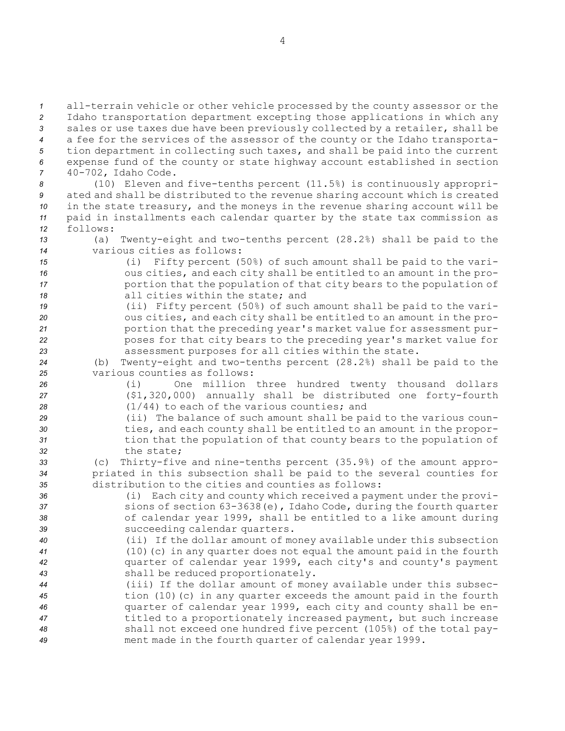all-terrain vehicle or other vehicle processed by the county assessor or the Idaho transportation department excepting those applications in which any sales or use taxes due have been previously collected by <sup>a</sup> retailer, shall be <sup>a</sup> fee for the services of the assessor of the county or the Idaho transporta- tion department in collecting such taxes, and shall be paid into the current expense fund of the county or state highway account established in section 40-702, Idaho Code.

 (10) Eleven and five-tenths percent (11.5%) is continuously appropri- ated and shall be distributed to the revenue sharing account which is created in the state treasury, and the moneys in the revenue sharing account will be paid in installments each calendar quarter by the state tax commission as *12* follows:

*<sup>13</sup>* (a) Twenty-eight and two-tenths percent (28.2%) shall be paid to the *14* various cities as follows:

- *<sup>15</sup>* (i) Fifty percent (50%) of such amount shall be paid to the vari-*<sup>16</sup>* ous cities, and each city shall be entitled to an amount in the pro-17 **portion that the population of that city bears to the population of** *18* all cities within the state; and *<sup>19</sup>* (ii) Fifty percent (50%) of such amount shall be paid to the vari-
- *<sup>20</sup>* ous cities, and each city shall be entitled to an amount in the pro-*<sup>21</sup>* portion that the preceding year's market value for assessment pur-*<sup>22</sup>* poses for that city bears to the preceding year's market value for *<sup>23</sup>* assessment purposes for all cities within the state.

*<sup>24</sup>* (b) Twenty-eight and two-tenths percent (28.2%) shall be paid to the *25* various counties as follows:

- *<sup>26</sup>* (i) One million three hundred twenty thousand dollars *<sup>27</sup>* (\$1,320,000) annually shall be distributed one forty-fourth *<sup>28</sup>* (1/44) to each of the various counties; and
- *<sup>29</sup>* (ii) The balance of such amount shall be paid to the various coun-*<sup>30</sup>* ties, and each county shall be entitled to an amount in the propor-*<sup>31</sup>* tion that the population of that county bears to the population of *32* the state;
- *<sup>33</sup>* (c) Thirty-five and nine-tenths percent (35.9%) of the amount appro-*<sup>34</sup>* priated in this subsection shall be paid to the several counties for *35* distribution to the cities and counties as follows:

 (i) Each city and county which received <sup>a</sup> payment under the provi- sions of section 63-3638(e), Idaho Code, during the fourth quarter of calendar year 1999, shall be entitled to <sup>a</sup> like amount during succeeding calendar quarters.

- *<sup>40</sup>* (ii) If the dollar amount of money available under this subsection *<sup>41</sup>* (10)(c) in any quarter does not equal the amount paid in the fourth *<sup>42</sup>* quarter of calendar year 1999, each city's and county's payment *<sup>43</sup>* shall be reduced proportionately.
- *<sup>44</sup>* (iii) If the dollar amount of money available under this subsec-*<sup>45</sup>* tion (10)(c) in any quarter exceeds the amount paid in the fourth *<sup>46</sup>* quarter of calendar year 1999, each city and county shall be en-*<sup>47</sup>* titled to <sup>a</sup> proportionately increased payment, but such increase *<sup>48</sup>* shall not exceed one hundred five percent (105%) of the total pay-*<sup>49</sup>* ment made in the fourth quarter of calendar year 1999.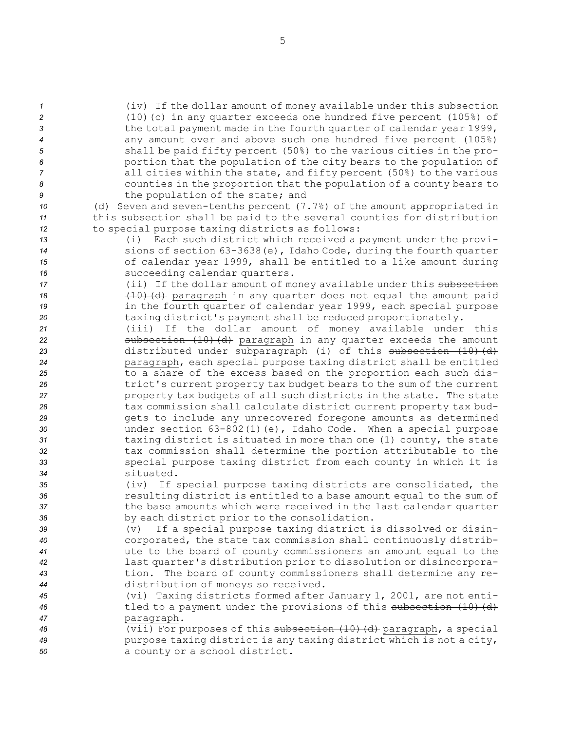(iv) If the dollar amount of money available under this subsection (10)(c) in any quarter exceeds one hundred five percent (105%) of the total payment made in the fourth quarter of calendar year 1999, any amount over and above such one hundred five percent (105%) shall be paid fifty percent (50%) to the various cities in the pro- portion that the population of the city bears to the population of all cities within the state, and fifty percent (50%) to the various counties in the proportion that the population of <sup>a</sup> county bears to the population of the state; and (d) Seven and seven-tenths percent (7.7%) of the amount appropriated in this subsection shall be paid to the several counties for distribution to special purpose taxing districts as follows: (i) Each such district which received <sup>a</sup> payment under the provi- sions of section 63-3638(e), Idaho Code, during the fourth quarter of calendar year 1999, shall be entitled to <sup>a</sup> like amount during succeeding calendar quarters. **17** (ii) If the dollar amount of money available under this subsection **(10)** (d) paragraph in any quarter does not equal the amount paid in the fourth quarter of calendar year 1999, each special purpose taxing district's payment shall be reduced proportionately. (iii) If the dollar amount of money available under this **subsection (10)(d)** paragraph in any quarter exceeds the amount 23 distributed under subparagraph (i) of this subsection (10)(d) paragraph, each special purpose taxing district shall be entitled to <sup>a</sup> share of the excess based on the proportion each such dis- trict's current property tax budget bears to the sum of the current property tax budgets of all such districts in the state. The state tax commission shall calculate district current property tax bud- gets to include any unrecovered foregone amounts as determined under section 63-802(1)(e), Idaho Code. When <sup>a</sup> special purpose taxing district is situated in more than one (1) county, the state tax commission shall determine the portion attributable to the special purpose taxing district from each county in which it is situated. (iv) If special purpose taxing districts are consolidated, the resulting district is entitled to <sup>a</sup> base amount equal to the sum of the base amounts which were received in the last calendar quarter by each district prior to the consolidation. (v) If <sup>a</sup> special purpose taxing district is dissolved or disin- corporated, the state tax commission shall continuously distrib- ute to the board of county commissioners an amount equal to the last quarter's distribution prior to dissolution or disincorpora- tion. The board of county commissioners shall determine any re- distribution of moneys so received. (vi) Taxing districts formed after January 1, 2001, are not enti-46 tled to a payment under the provisions of this subsection (10) (d) paragraph. (vii) For purposes of this subsection (10)(d) paragraph, <sup>a</sup> special purpose taxing district is any taxing district which is not <sup>a</sup> city, <sup>a</sup> county or <sup>a</sup> school district.

5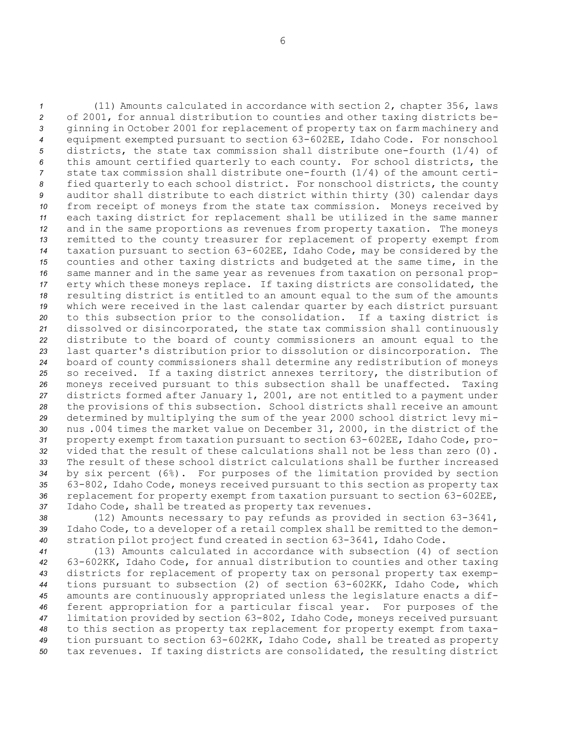(11) Amounts calculated in accordance with section 2, chapter 356, laws of 2001, for annual distribution to counties and other taxing districts be- ginning in October 2001 for replacement of property tax on farm machinery and equipment exempted pursuant to section 63-602EE, Idaho Code. For nonschool districts, the state tax commission shall distribute one-fourth (1/4) of this amount certified quarterly to each county. For school districts, the state tax commission shall distribute one-fourth (1/4) of the amount certi- fied quarterly to each school district. For nonschool districts, the county auditor shall distribute to each district within thirty (30) calendar days from receipt of moneys from the state tax commission. Moneys received by each taxing district for replacement shall be utilized in the same manner and in the same proportions as revenues from property taxation. The moneys remitted to the county treasurer for replacement of property exempt from taxation pursuant to section 63-602EE, Idaho Code, may be considered by the counties and other taxing districts and budgeted at the same time, in the same manner and in the same year as revenues from taxation on personal prop- erty which these moneys replace. If taxing districts are consolidated, the resulting district is entitled to an amount equal to the sum of the amounts which were received in the last calendar quarter by each district pursuant to this subsection prior to the consolidation. If <sup>a</sup> taxing district is dissolved or disincorporated, the state tax commission shall continuously distribute to the board of county commissioners an amount equal to the last quarter's distribution prior to dissolution or disincorporation. The board of county commissioners shall determine any redistribution of moneys so received. If <sup>a</sup> taxing district annexes territory, the distribution of moneys received pursuant to this subsection shall be unaffected. Taxing districts formed after January 1, 2001, are not entitled to <sup>a</sup> payment under the provisions of this subsection. School districts shall receive an amount determined by multiplying the sum of the year 2000 school district levy mi- nus .004 times the market value on December 31, 2000, in the district of the property exempt from taxation pursuant to section 63-602EE, Idaho Code, pro- vided that the result of these calculations shall not be less than zero (0). The result of these school district calculations shall be further increased by six percent (6%). For purposes of the limitation provided by section 63-802, Idaho Code, moneys received pursuant to this section as property tax replacement for property exempt from taxation pursuant to section 63-602EE, Idaho Code, shall be treated as property tax revenues.

*<sup>38</sup>* (12) Amounts necessary to pay refunds as provided in section 63-3641, *<sup>39</sup>* Idaho Code, to <sup>a</sup> developer of <sup>a</sup> retail complex shall be remitted to the demon-*<sup>40</sup>* stration pilot project fund created in section 63-3641, Idaho Code.

 (13) Amounts calculated in accordance with subsection (4) of section 63-602KK, Idaho Code, for annual distribution to counties and other taxing districts for replacement of property tax on personal property tax exemp- tions pursuant to subsection (2) of section 63-602KK, Idaho Code, which amounts are continuously appropriated unless the legislature enacts <sup>a</sup> dif- ferent appropriation for <sup>a</sup> particular fiscal year. For purposes of the limitation provided by section 63-802, Idaho Code, moneys received pursuant to this section as property tax replacement for property exempt from taxa- tion pursuant to section 63-602KK, Idaho Code, shall be treated as property tax revenues. If taxing districts are consolidated, the resulting district